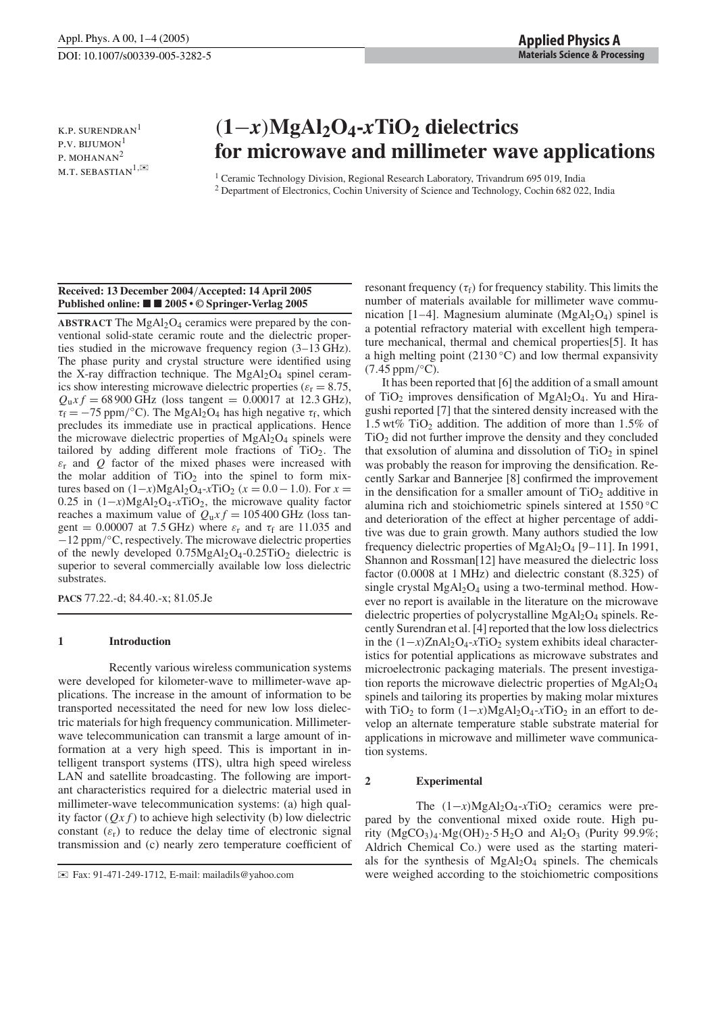k.p. surendran<sup>1</sup> P.V. BIJUMON<sup>1</sup> P. MOHANAN<sup>2</sup> M.T. SEBASTIAN $^{1,\mathbb{K}}$ 

# (**1**−*x*)**MgAl2O4-***x***TiO2 dielectrics for microwave and millimeter wave applications**

<sup>1</sup> Ceramic Technology Division, Regional Research Laboratory, Trivandrum 695 019, India <sup>2</sup> Department of Electronics, Cochin University of Science and Technology, Cochin 682 022, India

## **Received: 13 December 2004**/**Accepted: 14 April 2005 Published online: 2005 • © Springer-Verlag 2005**

**ABSTRACT** The  $MgAl<sub>2</sub>O<sub>4</sub>$  ceramics were prepared by the conventional solid-state ceramic route and the dielectric properties studied in the microwave frequency region (3–13 GHz). The phase purity and crystal structure were identified using the X-ray diffraction technique. The  $MgAl<sub>2</sub>O<sub>4</sub>$  spinel ceramics show interesting microwave dielectric properties ( $\varepsilon$ <sub>r</sub> = 8.75,  $Q_{u}xf = 68900 \text{ GHz}$  (loss tangent = 0.00017 at 12.3 GHz),  $\tau_f = -75$  ppm/°C). The MgAl<sub>2</sub>O<sub>4</sub> has high negative  $\tau_f$ , which precludes its immediate use in practical applications. Hence the microwave dielectric properties of  $MgAl<sub>2</sub>O<sub>4</sub>$  spinels were tailored by adding different mole fractions of TiO2. The  $\varepsilon_r$  and  $Q$  factor of the mixed phases were increased with the molar addition of  $TiO<sub>2</sub>$  into the spinel to form mixtures based on  $(1-x)MgA1_2O_4$ -*x*TiO<sub>2</sub> ( $x = 0.0 - 1.0$ ). For  $x =$ 0.25 in (1−*x*)MgAl2O4-*x*TiO2, the microwave quality factor reaches a maximum value of  $Q_{\rm u} x f = 105\,400$  GHz (loss tangent = 0.00007 at 7.5 GHz) where  $\varepsilon_r$  and  $\tau_f$  are 11.035 and −12 ppm/◦C, respectively. The microwave dielectric properties of the newly developed  $0.75MgAl<sub>2</sub>O<sub>4</sub> - 0.25TiO<sub>2</sub>$  dielectric is superior to several commercially available low loss dielectric substrates.

**PACS** 77.22.-d; 84.40.-x; 81.05.Je

# **1 Introduction**

Recently various wireless communication systems were developed for kilometer-wave to millimeter-wave applications. The increase in the amount of information to be transported necessitated the need for new low loss dielectric materials for high frequency communication. Millimeterwave telecommunication can transmit a large amount of information at a very high speed. This is important in intelligent transport systems (ITS), ultra high speed wireless LAN and satellite broadcasting. The following are important characteristics required for a dielectric material used in millimeter-wave telecommunication systems: (a) high quality factor  $(Qxf)$  to achieve high selectivity (b) low dielectric constant  $(\varepsilon_r)$  to reduce the delay time of electronic signal transmission and (c) nearly zero temperature coefficient of

resonant frequency ( $\tau_f$ ) for frequency stability. This limits the number of materials available for millimeter wave communication [1–4]. Magnesium aluminate  $(MgA<sub>2</sub>O<sub>4</sub>)$  spinel is a potential refractory material with excellent high temperature mechanical, thermal and chemical properties[5]. It has a high melting point (2130  $°C$ ) and low thermal expansivity  $(7.45 \,\mathrm{ppm}/\mathrm{°C})$ .

It has been reported that [6] the addition of a small amount of TiO<sub>2</sub> improves densification of MgAl<sub>2</sub>O<sub>4</sub>. Yu and Hiragushi reported [7] that the sintered density increased with the 1.5 wt% TiO2 addition. The addition of more than 1.5% of  $TiO<sub>2</sub>$  did not further improve the density and they concluded that exsolution of alumina and dissolution of  $TiO<sub>2</sub>$  in spinel was probably the reason for improving the densification. Recently Sarkar and Bannerjee [8] confirmed the improvement in the densification for a smaller amount of  $TiO<sub>2</sub>$  additive in alumina rich and stoichiometric spinels sintered at 1550 ◦C and deterioration of the effect at higher percentage of additive was due to grain growth. Many authors studied the low frequency dielectric properties of  $MgAl<sub>2</sub>O<sub>4</sub>$  [9–11]. In 1991, Shannon and Rossman[12] have measured the dielectric loss factor (0.0008 at 1 MHz) and dielectric constant (8.325) of single crystal  $MgA<sub>2</sub>O<sub>4</sub>$  using a two-terminal method. However no report is available in the literature on the microwave dielectric properties of polycrystalline  $MgAl<sub>2</sub>O<sub>4</sub>$  spinels. Recently Surendran et al. [4] reported that the low loss dielectrics in the  $(1-x)ZnA_2O_4$ -*x*TiO<sub>2</sub> system exhibits ideal characteristics for potential applications as microwave substrates and microelectronic packaging materials. The present investigation reports the microwave dielectric properties of  $MgAl<sub>2</sub>O<sub>4</sub>$ spinels and tailoring its properties by making molar mixtures with TiO<sub>2</sub> to form  $(1-x)MgAl<sub>2</sub>O<sub>4</sub>-xTiO<sub>2</sub>$  in an effort to develop an alternate temperature stable substrate material for applications in microwave and millimeter wave communication systems.

# **2 Experimental**

The  $(1-x)MgA1_2O_4$ -*x*TiO<sub>2</sub> ceramics were prepared by the conventional mixed oxide route. High purity  $(MgCO<sub>3</sub>)<sub>4</sub>·Mg(OH)<sub>2</sub>·5H<sub>2</sub>O$  and  $Al<sub>2</sub>O<sub>3</sub>$  (Purity 99.9%; Aldrich Chemical Co.) were used as the starting materials for the synthesis of  $MgAl<sub>2</sub>O<sub>4</sub>$  spinels. The chemicals were weighed according to the stoichiometric compositions

<sup>✉</sup> Fax: 91-471-249-1712, E-mail: mailadils@yahoo.com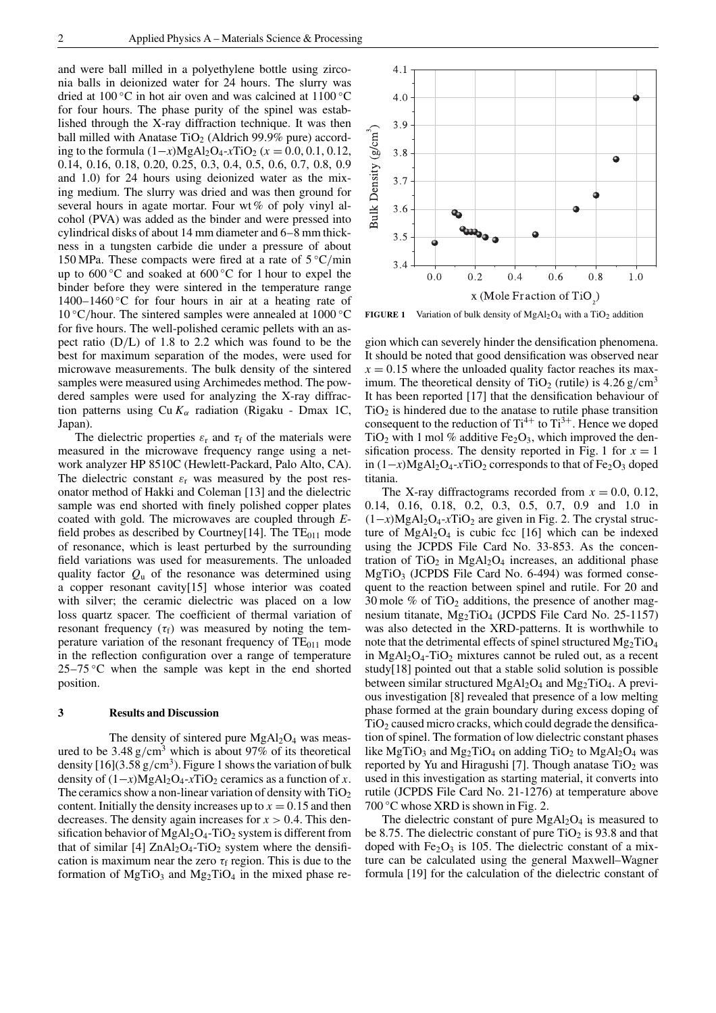and were ball milled in a polyethylene bottle using zirconia balls in deionized water for 24 hours. The slurry was dried at 100 ◦C in hot air oven and was calcined at 1100 ◦C for four hours. The phase purity of the spinel was established through the X-ray diffraction technique. It was then ball milled with Anatase TiO<sub>2</sub> (Aldrich 99.9% pure) according to the formula  $(1−x)MgA<sub>2</sub>O<sub>4</sub> - xTiO<sub>2</sub>$  ( $x = 0.0, 0.1, 0.12$ , 0.14, 0.16, 0.18, 0.20, 0.25, 0.3, 0.4, 0.5, 0.6, 0.7, 0.8, 0.9 and 1.0) for 24 hours using deionized water as the mixing medium. The slurry was dried and was then ground for several hours in agate mortar. Four wt % of poly vinyl alcohol (PVA) was added as the binder and were pressed into cylindrical disks of about 14 mm diameter and 6–8 mm thickness in a tungsten carbide die under a pressure of about 150 MPa. These compacts were fired at a rate of  $5 \degree C/min$ up to  $600\degree$ C and soaked at  $600\degree$ C for 1 hour to expel the binder before they were sintered in the temperature range  $1400-1460$  °C for four hours in air at a heating rate of  $10 °C/h$ our. The sintered samples were annealed at  $1000 °C$ for five hours. The well-polished ceramic pellets with an aspect ratio (D/L) of 1.8 to 2.2 which was found to be the best for maximum separation of the modes, were used for microwave measurements. The bulk density of the sintered samples were measured using Archimedes method. The powdered samples were used for analyzing the X-ray diffraction patterns using  $Cu K<sub>\alpha</sub>$  radiation (Rigaku - Dmax 1C, Japan).

The dielectric properties  $\varepsilon_r$  and  $\tau_f$  of the materials were measured in the microwave frequency range using a network analyzer HP 8510C (Hewlett-Packard, Palo Alto, CA). The dielectric constant  $\varepsilon_r$  was measured by the post resonator method of Hakki and Coleman [13] and the dielectric sample was end shorted with finely polished copper plates coated with gold. The microwaves are coupled through *E*field probes as described by Courtney[14]. The  $TE_{011}$  mode of resonance, which is least perturbed by the surrounding field variations was used for measurements. The unloaded quality factor  $Q_{\text{u}}$  of the resonance was determined using a copper resonant cavity[15] whose interior was coated with silver; the ceramic dielectric was placed on a low loss quartz spacer. The coefficient of thermal variation of resonant frequency ( $\tau_f$ ) was measured by noting the temperature variation of the resonant frequency of  $TE<sub>011</sub>$  mode in the reflection configuration over a range of temperature  $25-75$  °C when the sample was kept in the end shorted position.

## **3 Results and Discussion**

The density of sintered pure  $MgAl<sub>2</sub>O<sub>4</sub>$  was measured to be  $3.48 \text{ g/cm}^3$  which is about 97% of its theoretical density  $[16](3.58 \text{ g/cm}^3)$ . Figure 1 shows the variation of bulk density of  $(1-x)MgA_2O_4$ -*x*TiO<sub>2</sub> ceramics as a function of *x*. The ceramics show a non-linear variation of density with  $TiO<sub>2</sub>$ content. Initially the density increases up to  $x = 0.15$  and then decreases. The density again increases for  $x > 0.4$ . This densification behavior of  $MgAl<sub>2</sub>O<sub>4</sub>$ -TiO<sub>2</sub> system is different from that of similar  $[4]$  ZnAl<sub>2</sub>O<sub>4</sub>-TiO<sub>2</sub> system where the densification is maximum near the zero  $\tau_f$  region. This is due to the formation of  $MgTiO<sub>3</sub>$  and  $Mg<sub>2</sub>TiO<sub>4</sub>$  in the mixed phase re-



**FIGURE 1** Variation of bulk density of  $MgAl<sub>2</sub>O<sub>4</sub>$  with a TiO<sub>2</sub> addition

gion which can severely hinder the densification phenomena. It should be noted that good densification was observed near  $x = 0.15$  where the unloaded quality factor reaches its maximum. The theoretical density of TiO<sub>2</sub> (rutile) is  $4.26 \text{ g/cm}^3$ It has been reported [17] that the densification behaviour of  $TiO<sub>2</sub>$  is hindered due to the anatase to rutile phase transition consequent to the reduction of  $Ti^{4+}$  to  $Ti^{3+}$ . Hence we doped TiO<sub>2</sub> with 1 mol % additive Fe<sub>2</sub>O<sub>3</sub>, which improved the densification process. The density reported in Fig. 1 for  $x = 1$ in  $(1−*x*)MgAl<sub>2</sub>O<sub>4</sub> - *x*TiO<sub>2</sub> corresponds to that of Fe<sub>2</sub>O<sub>3</sub> doped$ titania.

The X-ray diffractograms recorded from  $x = 0.0, 0.12$ , 0.14, 0.16, 0.18, 0.2, 0.3, 0.5, 0.7, 0.9 and 1.0 in  $(1-x)MgAl<sub>2</sub>O<sub>4</sub>-xTiO<sub>2</sub>$  are given in Fig. 2. The crystal structure of  $MgA1_2O_4$  is cubic fcc [16] which can be indexed using the JCPDS File Card No. 33-853. As the concentration of TiO<sub>2</sub> in MgAl<sub>2</sub>O<sub>4</sub> increases, an additional phase  $MgTiO<sub>3</sub>$  (JCPDS File Card No. 6-494) was formed consequent to the reaction between spinel and rutile. For 20 and 30 mole  $\%$  of TiO<sub>2</sub> additions, the presence of another magnesium titanate, Mg<sub>2</sub>TiO<sub>4</sub> (JCPDS File Card No. 25-1157) was also detected in the XRD-patterns. It is worthwhile to note that the detrimental effects of spinel structured  $Mg_2TiO_4$ in MgAl<sub>2</sub>O<sub>4</sub>-TiO<sub>2</sub> mixtures cannot be ruled out, as a recent study[18] pointed out that a stable solid solution is possible between similar structured  $MgAl<sub>2</sub>O<sub>4</sub>$  and  $Mg<sub>2</sub>TiO<sub>4</sub>$ . A previous investigation [8] revealed that presence of a low melting phase formed at the grain boundary during excess doping of  $TiO<sub>2</sub>$  caused micro cracks, which could degrade the densification of spinel. The formation of low dielectric constant phases like MgTiO<sub>3</sub> and Mg<sub>2</sub>TiO<sub>4</sub> on adding TiO<sub>2</sub> to MgAl<sub>2</sub>O<sub>4</sub> was reported by Yu and Hiragushi [7]. Though anatase  $TiO<sub>2</sub>$  was used in this investigation as starting material, it converts into rutile (JCPDS File Card No. 21-1276) at temperature above  $700\degree$ C whose XRD is shown in Fig. 2.

The dielectric constant of pure  $MgAl<sub>2</sub>O<sub>4</sub>$  is measured to be 8.75. The dielectric constant of pure  $TiO<sub>2</sub>$  is 93.8 and that doped with  $Fe<sub>2</sub>O<sub>3</sub>$  is 105. The dielectric constant of a mixture can be calculated using the general Maxwell–Wagner formula [19] for the calculation of the dielectric constant of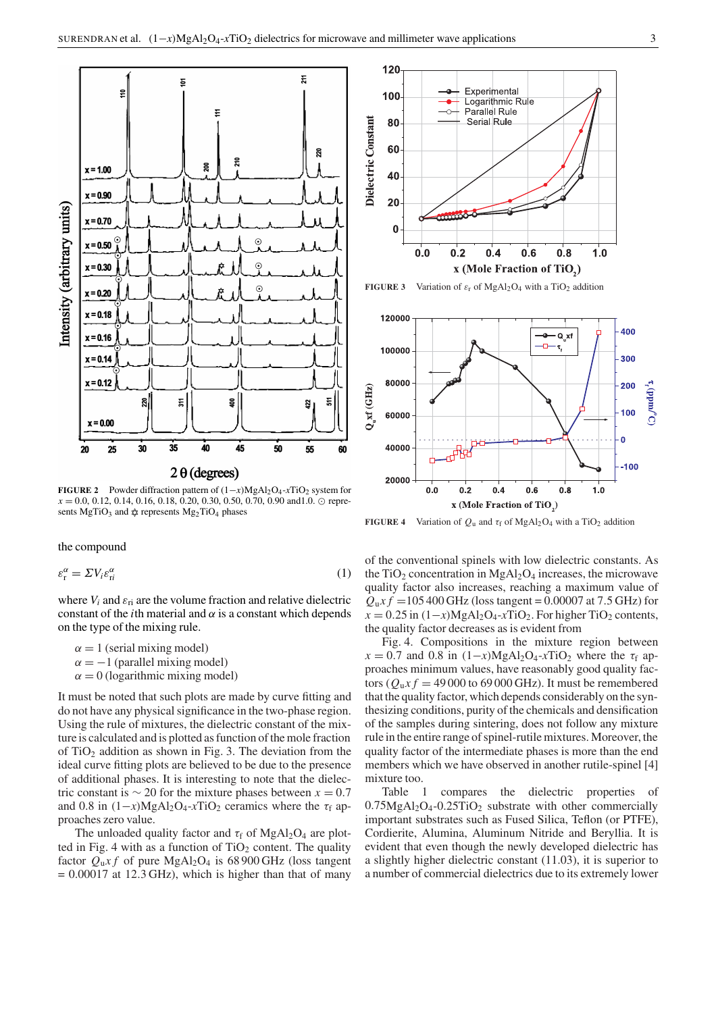

**FIGURE 2** Powder diffraction pattern of  $(1-x)MgA_2O_4$ -*xTiO*<sub>2</sub> system for  $x = 0.0, 0.12, 0.14, 0.16, 0.18, 0.20, 0.30, 0.50, 0.70, 0.90 \text{ and } 1.0. \odot \text{ repre-}$ sents  $MgTiO_3$  and  $\hat{\varphi}$  represents  $Mg_2TiO_4$  phases

the compound

$$
\varepsilon_{\rm r}^{\alpha} = \Sigma V_i \varepsilon_{\rm ri}^{\alpha} \tag{1}
$$

where  $V_i$  and  $\varepsilon_{ri}$  are the volume fraction and relative dielectric constant of the *i*th material and  $\alpha$  is a constant which depends on the type of the mixing rule.

 $\alpha = 1$  (serial mixing model)  $\alpha = -1$  (parallel mixing model)  $\alpha = 0$  (logarithmic mixing model)

It must be noted that such plots are made by curve fitting and do not have any physical significance in the two-phase region. Using the rule of mixtures, the dielectric constant of the mixture is calculated and is plotted as function of the mole fraction of  $TiO<sub>2</sub>$  addition as shown in Fig. 3. The deviation from the ideal curve fitting plots are believed to be due to the presence of additional phases. It is interesting to note that the dielectric constant is  $\sim$  20 for the mixture phases between  $x = 0.7$ and 0.8 in  $(1-x)MgA1_2O_4$ -*x*TiO<sub>2</sub> ceramics where the  $\tau_f$  approaches zero value.

The unloaded quality factor and  $\tau_f$  of MgAl<sub>2</sub>O<sub>4</sub> are plotted in Fig. 4 with as a function of  $TiO<sub>2</sub>$  content. The quality factor  $Q_u x f$  of pure MgAl<sub>2</sub>O<sub>4</sub> is 68 900 GHz (loss tangent  $= 0.00017$  at 12.3 GHz), which is higher than that of many





**FIGURE 4** Variation of  $Q_u$  and  $\tau_f$  of MgAl<sub>2</sub>O<sub>4</sub> with a TiO<sub>2</sub> addition

of the conventional spinels with low dielectric constants. As the TiO<sub>2</sub> concentration in MgAl<sub>2</sub>O<sub>4</sub> increases, the microwave quality factor also increases, reaching a maximum value of  $Q_{u}xf = 105\,400\,\text{GHz}$  (loss tangent = 0.00007 at 7.5 GHz) for  $x = 0.25$  in  $(1-x)MgAl<sub>2</sub>O<sub>4</sub>-xTiO<sub>2</sub>$ . For higher TiO<sub>2</sub> contents, the quality factor decreases as is evident from

Fig. 4. Compositions in the mixture region between  $x = 0.7$  and 0.8 in  $(1-x)MgA1_2O_4-xTiO_2$  where the  $\tau_f$  approaches minimum values, have reasonably good quality factors ( $Q_u x f = 49000$  to 69000 GHz). It must be remembered that the quality factor, which depends considerably on the synthesizing conditions, purity of the chemicals and densification of the samples during sintering, does not follow any mixture rule in the entire range of spinel-rutile mixtures. Moreover, the quality factor of the intermediate phases is more than the end members which we have observed in another rutile-spinel [4] mixture too.

Table 1 compares the dielectric properties of  $0.75MgAl<sub>2</sub>O<sub>4</sub> - 0.25TiO<sub>2</sub>$  substrate with other commercially important substrates such as Fused Silica, Teflon (or PTFE), Cordierite, Alumina, Aluminum Nitride and Beryllia. It is evident that even though the newly developed dielectric has a slightly higher dielectric constant (11.03), it is superior to a number of commercial dielectrics due to its extremely lower